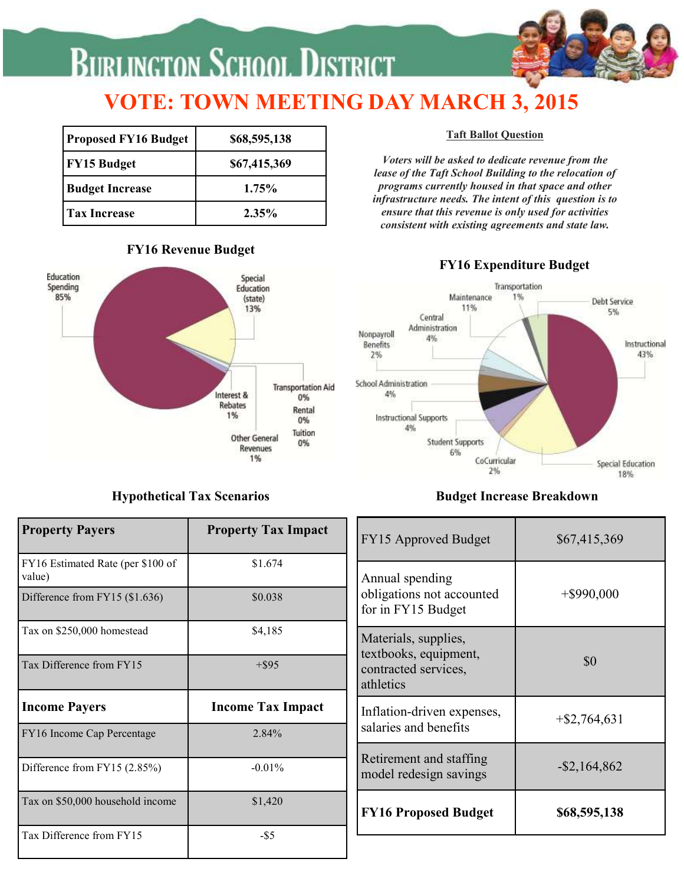# **BURLINGTON SCHOOL DISTRICT**

# **VOTE: TOWN MEETING DAY MARCH 3, 2015**

| <b>Proposed FY16 Budget</b> | \$68,595,138 |  |
|-----------------------------|--------------|--|
| <b>FY15 Budget</b>          | \$67,415,369 |  |
| <b>Budget Increase</b>      | 1.75%        |  |
| <b>Tax Increase</b>         | $2.35\%$     |  |

#### **FY16 Revenue Budget**



#### **Hypothetical Tax Scenarios**

#### **Taft Ballot Question**

*Voters will be asked to dedicate revenue from the lease of the Taft School Building to the relocation of programs currently housed in that space and other infrastructure needs. The intent of this question is to ensure that this revenue is only used for activities consistent with existing agreements and state law.*

#### **FY16 Expenditure Budget**



#### **Budget Increase Breakdown**

|                          | FY15 Approved Budget                              | \$67,415,369                                                                |
|--------------------------|---------------------------------------------------|-----------------------------------------------------------------------------|
| \$1.674                  | Annual spending                                   |                                                                             |
| \$0.038                  | for in FY15 Budget                                | $+$ \$990,000                                                               |
| \$4,185                  | Materials, supplies,                              |                                                                             |
| $+$ \$95                 | contracted services,<br>athletics                 | \$0                                                                         |
| <b>Income Tax Impact</b> | Inflation-driven expenses,                        | $+$ \$2,764,631                                                             |
| 2.84%                    |                                                   |                                                                             |
| $-0.01%$                 | Retirement and staffing<br>model redesign savings | $-$ \$2,164,862                                                             |
| \$1,420                  |                                                   |                                                                             |
|                          | <b>FY16 Proposed Budget</b>                       | \$68,595,138                                                                |
|                          | <b>Property Tax Impact</b>                        | obligations not accounted<br>textbooks, equipment,<br>salaries and benefits |